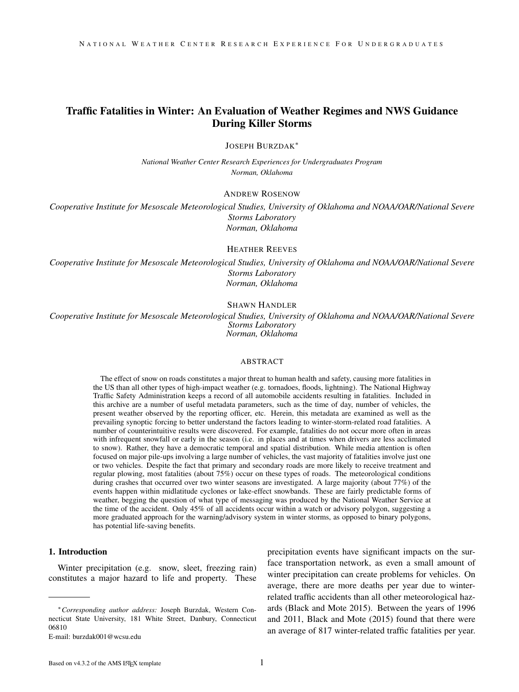# Traffic Fatalities in Winter: An Evaluation of Weather Regimes and NWS Guidance During Killer Storms

JOSEPH BURZDAK<sup>∗</sup>

*National Weather Center Research Experiences for Undergraduates Program Norman, Oklahoma*

### ANDREW ROSENOW

*Cooperative Institute for Mesoscale Meteorological Studies, University of Oklahoma and NOAA/OAR/National Severe Storms Laboratory Norman, Oklahoma*

### HEATHER REEVES

*Cooperative Institute for Mesoscale Meteorological Studies, University of Oklahoma and NOAA/OAR/National Severe Storms Laboratory Norman, Oklahoma*

### SHAWN HANDLER

*Cooperative Institute for Mesoscale Meteorological Studies, University of Oklahoma and NOAA/OAR/National Severe Storms Laboratory Norman, Oklahoma*

#### ABSTRACT

The effect of snow on roads constitutes a major threat to human health and safety, causing more fatalities in the US than all other types of high-impact weather (e.g. tornadoes, floods, lightning). The National Highway Traffic Safety Administration keeps a record of all automobile accidents resulting in fatalities. Included in this archive are a number of useful metadata parameters, such as the time of day, number of vehicles, the present weather observed by the reporting officer, etc. Herein, this metadata are examined as well as the prevailing synoptic forcing to better understand the factors leading to winter-storm-related road fatalities. A number of counterintuitive results were discovered. For example, fatalities do not occur more often in areas with infrequent snowfall or early in the season (i.e. in places and at times when drivers are less acclimated to snow). Rather, they have a democratic temporal and spatial distribution. While media attention is often focused on major pile-ups involving a large number of vehicles, the vast majority of fatalities involve just one or two vehicles. Despite the fact that primary and secondary roads are more likely to receive treatment and regular plowing, most fatalities (about 75%) occur on these types of roads. The meteorological conditions during crashes that occurred over two winter seasons are investigated. A large majority (about 77%) of the events happen within midlatitude cyclones or lake-effect snowbands. These are fairly predictable forms of weather, begging the question of what type of messaging was produced by the National Weather Service at the time of the accident. Only 45% of all accidents occur within a watch or advisory polygon, suggesting a more graduated approach for the warning/advisory system in winter storms, as opposed to binary polygons, has potential life-saving benefits.

### 1. Introduction

Winter precipitation (e.g. snow, sleet, freezing rain) constitutes a major hazard to life and property. These

E-mail: burzdak001@wcsu.edu

precipitation events have significant impacts on the surface transportation network, as even a small amount of winter precipitation can create problems for vehicles. On average, there are more deaths per year due to winterrelated traffic accidents than all other meteorological hazards (Black and Mote 2015). Between the years of 1996 and 2011, Black and Mote (2015) found that there were an average of 817 winter-related traffic fatalities per year.

<sup>∗</sup>*Corresponding author address:* Joseph Burzdak, Western Connecticut State University, 181 White Street, Danbury, Connecticut 06810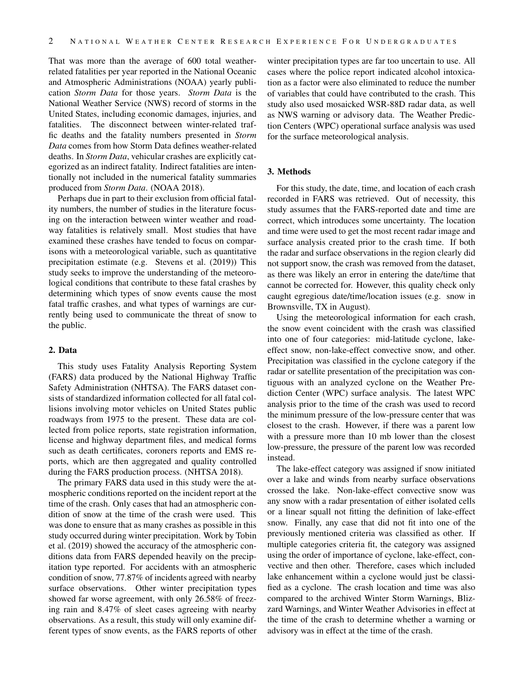That was more than the average of 600 total weatherrelated fatalities per year reported in the National Oceanic and Atmospheric Administrations (NOAA) yearly publication *Storm Data* for those years. *Storm Data* is the National Weather Service (NWS) record of storms in the United States, including economic damages, injuries, and fatalities. The disconnect between winter-related traffic deaths and the fatality numbers presented in *Storm Data* comes from how Storm Data defines weather-related deaths. In *Storm Data*, vehicular crashes are explicitly categorized as an indirect fatality. Indirect fatalities are intentionally not included in the numerical fatality summaries produced from *Storm Data*. (NOAA 2018).

Perhaps due in part to their exclusion from official fatality numbers, the number of studies in the literature focusing on the interaction between winter weather and roadway fatalities is relatively small. Most studies that have examined these crashes have tended to focus on comparisons with a meteorological variable, such as quantitative precipitation estimate (e.g. Stevens et al. (2019)) This study seeks to improve the understanding of the meteorological conditions that contribute to these fatal crashes by determining which types of snow events cause the most fatal traffic crashes, and what types of warnings are currently being used to communicate the threat of snow to the public.

# 2. Data

This study uses Fatality Analysis Reporting System (FARS) data produced by the National Highway Traffic Safety Administration (NHTSA). The FARS dataset consists of standardized information collected for all fatal collisions involving motor vehicles on United States public roadways from 1975 to the present. These data are collected from police reports, state registration information, license and highway department files, and medical forms such as death certificates, coroners reports and EMS reports, which are then aggregated and quality controlled during the FARS production process. (NHTSA 2018).

The primary FARS data used in this study were the atmospheric conditions reported on the incident report at the time of the crash. Only cases that had an atmospheric condition of snow at the time of the crash were used. This was done to ensure that as many crashes as possible in this study occurred during winter precipitation. Work by Tobin et al. (2019) showed the accuracy of the atmospheric conditions data from FARS depended heavily on the precipitation type reported. For accidents with an atmospheric condition of snow, 77.87% of incidents agreed with nearby surface observations. Other winter precipitation types showed far worse agreement, with only 26.58% of freezing rain and 8.47% of sleet cases agreeing with nearby observations. As a result, this study will only examine different types of snow events, as the FARS reports of other

winter precipitation types are far too uncertain to use. All cases where the police report indicated alcohol intoxication as a factor were also eliminated to reduce the number of variables that could have contributed to the crash. This study also used mosaicked WSR-88D radar data, as well as NWS warning or advisory data. The Weather Prediction Centers (WPC) operational surface analysis was used for the surface meteorological analysis.

### 3. Methods

For this study, the date, time, and location of each crash recorded in FARS was retrieved. Out of necessity, this study assumes that the FARS-reported date and time are correct, which introduces some uncertainty. The location and time were used to get the most recent radar image and surface analysis created prior to the crash time. If both the radar and surface observations in the region clearly did not support snow, the crash was removed from the dataset, as there was likely an error in entering the date/time that cannot be corrected for. However, this quality check only caught egregious date/time/location issues (e.g. snow in Brownsville, TX in August).

Using the meteorological information for each crash, the snow event coincident with the crash was classified into one of four categories: mid-latitude cyclone, lakeeffect snow, non-lake-effect convective snow, and other. Precipitation was classified in the cyclone category if the radar or satellite presentation of the precipitation was contiguous with an analyzed cyclone on the Weather Prediction Center (WPC) surface analysis. The latest WPC analysis prior to the time of the crash was used to record the minimum pressure of the low-pressure center that was closest to the crash. However, if there was a parent low with a pressure more than 10 mb lower than the closest low-pressure, the pressure of the parent low was recorded instead.

The lake-effect category was assigned if snow initiated over a lake and winds from nearby surface observations crossed the lake. Non-lake-effect convective snow was any snow with a radar presentation of either isolated cells or a linear squall not fitting the definition of lake-effect snow. Finally, any case that did not fit into one of the previously mentioned criteria was classified as other. If multiple categories criteria fit, the category was assigned using the order of importance of cyclone, lake-effect, convective and then other. Therefore, cases which included lake enhancement within a cyclone would just be classified as a cyclone. The crash location and time was also compared to the archived Winter Storm Warnings, Blizzard Warnings, and Winter Weather Advisories in effect at the time of the crash to determine whether a warning or advisory was in effect at the time of the crash.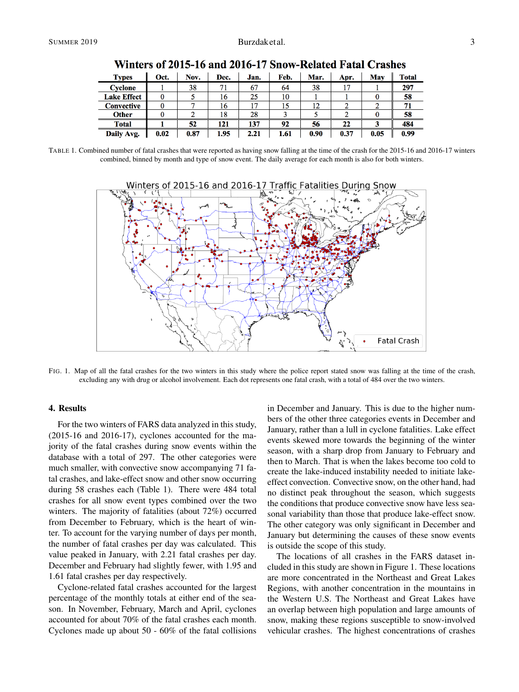| <b>Types</b>       | Oct. | Nov. | Dec. | Jan. | Feb. | Mar. | Apr. | Mav  | <b>Total</b> |
|--------------------|------|------|------|------|------|------|------|------|--------------|
| <b>Cyclone</b>     |      | 38   | 71   | 67   | 64   | 38   | n    |      | 297          |
| <b>Lake Effect</b> |      |      | 16   | 25   | 10   |      |      |      | 58           |
| <b>Convective</b>  |      |      | 16   | 17   | 15   |      |      |      | 71           |
| <b>Other</b>       |      |      | 18   | 28   |      |      |      |      | 58           |
| <b>Total</b>       |      | 52   | 121  | 137  | 92   | 56   | 22   |      | 484          |
| Daily Avg.         | 0.02 | 0.87 | 1.95 | 2.21 | 1.61 | 0.90 | 0.37 | 0.05 | 0.99         |

Winters of 2015-16 and 2016-17 Snow-Related Fatal Crashes

TABLE 1. Combined number of fatal crashes that were reported as having snow falling at the time of the crash for the 2015-16 and 2016-17 winters combined, binned by month and type of snow event. The daily average for each month is also for both winters.



FIG. 1. Map of all the fatal crashes for the two winters in this study where the police report stated snow was falling at the time of the crash, excluding any with drug or alcohol involvement. Each dot represents one fatal crash, with a total of 484 over the two winters.

# 4. Results

For the two winters of FARS data analyzed in this study, (2015-16 and 2016-17), cyclones accounted for the majority of the fatal crashes during snow events within the database with a total of 297. The other categories were much smaller, with convective snow accompanying 71 fatal crashes, and lake-effect snow and other snow occurring during 58 crashes each (Table 1). There were 484 total crashes for all snow event types combined over the two winters. The majority of fatalities (about 72%) occurred from December to February, which is the heart of winter. To account for the varying number of days per month, the number of fatal crashes per day was calculated. This value peaked in January, with 2.21 fatal crashes per day. December and February had slightly fewer, with 1.95 and 1.61 fatal crashes per day respectively.

Cyclone-related fatal crashes accounted for the largest percentage of the monthly totals at either end of the season. In November, February, March and April, cyclones accounted for about 70% of the fatal crashes each month. Cyclones made up about 50 - 60% of the fatal collisions in December and January. This is due to the higher numbers of the other three categories events in December and January, rather than a lull in cyclone fatalities. Lake effect events skewed more towards the beginning of the winter season, with a sharp drop from January to February and then to March. That is when the lakes become too cold to create the lake-induced instability needed to initiate lakeeffect convection. Convective snow, on the other hand, had no distinct peak throughout the season, which suggests the conditions that produce convective snow have less seasonal variability than those that produce lake-effect snow. The other category was only significant in December and January but determining the causes of these snow events is outside the scope of this study.

The locations of all crashes in the FARS dataset included in this study are shown in Figure 1. These locations are more concentrated in the Northeast and Great Lakes Regions, with another concentration in the mountains in the Western U.S. The Northeast and Great Lakes have an overlap between high population and large amounts of snow, making these regions susceptible to snow-involved vehicular crashes. The highest concentrations of crashes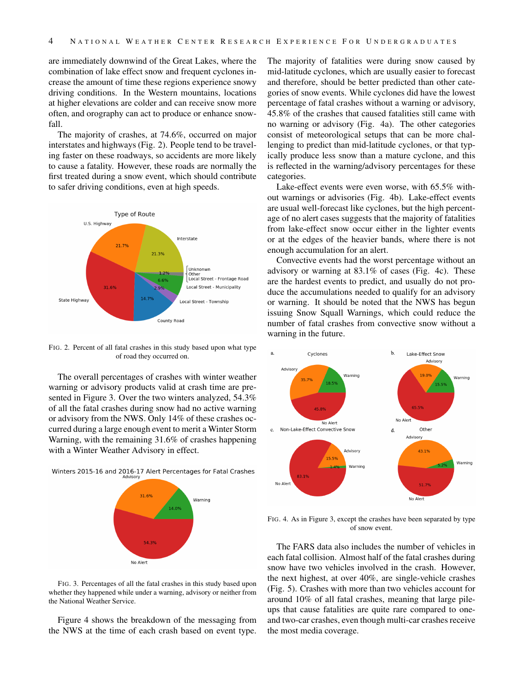are immediately downwind of the Great Lakes, where the combination of lake effect snow and frequent cyclones increase the amount of time these regions experience snowy driving conditions. In the Western mountains, locations at higher elevations are colder and can receive snow more often, and orography can act to produce or enhance snowfall.

The majority of crashes, at 74.6%, occurred on major interstates and highways (Fig. 2). People tend to be traveling faster on these roadways, so accidents are more likely to cause a fatality. However, these roads are normally the first treated during a snow event, which should contribute to safer driving conditions, even at high speeds.



FIG. 2. Percent of all fatal crashes in this study based upon what type of road they occurred on.

The overall percentages of crashes with winter weather warning or advisory products valid at crash time are presented in Figure 3. Over the two winters analyzed, 54.3% of all the fatal crashes during snow had no active warning or advisory from the NWS. Only 14% of these crashes occurred during a large enough event to merit a Winter Storm Warning, with the remaining 31.6% of crashes happening with a Winter Weather Advisory in effect.





FIG. 3. Percentages of all the fatal crashes in this study based upon whether they happened while under a warning, advisory or neither from the National Weather Service.

Figure 4 shows the breakdown of the messaging from the NWS at the time of each crash based on event type.

The majority of fatalities were during snow caused by mid-latitude cyclones, which are usually easier to forecast and therefore, should be better predicted than other categories of snow events. While cyclones did have the lowest percentage of fatal crashes without a warning or advisory, 45.8% of the crashes that caused fatalities still came with no warning or advisory (Fig. 4a). The other categories consist of meteorological setups that can be more challenging to predict than mid-latitude cyclones, or that typically produce less snow than a mature cyclone, and this is reflected in the warning/advisory percentages for these categories.

Lake-effect events were even worse, with 65.5% without warnings or advisories (Fig. 4b). Lake-effect events are usual well-forecast like cyclones, but the high percentage of no alert cases suggests that the majority of fatalities from lake-effect snow occur either in the lighter events or at the edges of the heavier bands, where there is not enough accumulation for an alert.

Convective events had the worst percentage without an advisory or warning at 83.1% of cases (Fig. 4c). These are the hardest events to predict, and usually do not produce the accumulations needed to qualify for an advisory or warning. It should be noted that the NWS has begun issuing Snow Squall Warnings, which could reduce the number of fatal crashes from convective snow without a warning in the future.



FIG. 4. As in Figure 3, except the crashes have been separated by type of snow event.

The FARS data also includes the number of vehicles in each fatal collision. Almost half of the fatal crashes during snow have two vehicles involved in the crash. However, the next highest, at over 40%, are single-vehicle crashes (Fig. 5). Crashes with more than two vehicles account for around 10% of all fatal crashes, meaning that large pileups that cause fatalities are quite rare compared to oneand two-car crashes, even though multi-car crashes receive the most media coverage.